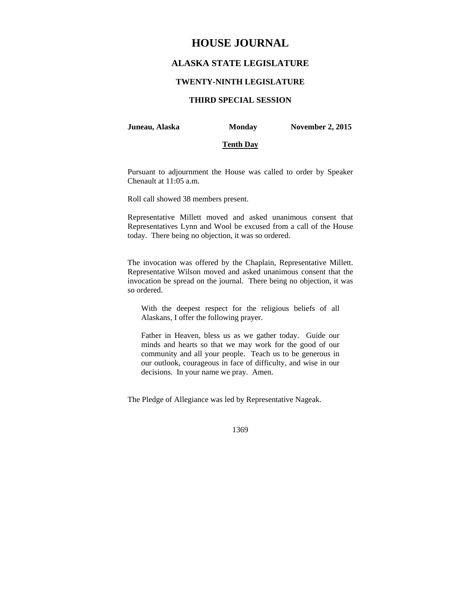# **HOUSE JOURNAL**

# **ALASKA STATE LEGISLATURE**

## **TWENTY-NINTH LEGISLATURE**

# **THIRD SPECIAL SESSION**

#### **Juneau, Alaska Monday November 2, 2015**

### **Tenth Day**

Pursuant to adjournment the House was called to order by Speaker Chenault at 11:05 a.m.

Roll call showed 38 members present.

Representative Millett moved and asked unanimous consent that Representatives Lynn and Wool be excused from a call of the House today. There being no objection, it was so ordered.

The invocation was offered by the Chaplain, Representative Millett. Representative Wilson moved and asked unanimous consent that the invocation be spread on the journal. There being no objection, it was so ordered.

With the deepest respect for the religious beliefs of all Alaskans, I offer the following prayer.

Father in Heaven, bless us as we gather today. Guide our minds and hearts so that we may work for the good of our community and all your people. Teach us to be generous in our outlook, courageous in face of difficulty, and wise in our decisions. In your name we pray. Amen.

The Pledge of Allegiance was led by Representative Nageak.

1369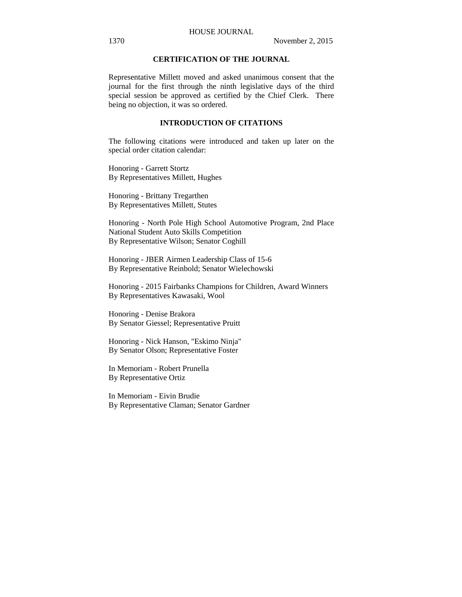## HOUSE JOURNAL

# **CERTIFICATION OF THE JOURNAL**

Representative Millett moved and asked unanimous consent that the journal for the first through the ninth legislative days of the third special session be approved as certified by the Chief Clerk. There being no objection, it was so ordered.

# **INTRODUCTION OF CITATIONS**

The following citations were introduced and taken up later on the special order citation calendar:

Honoring - Garrett Stortz By Representatives Millett, Hughes

Honoring - Brittany Tregarthen By Representatives Millett, Stutes

Honoring - North Pole High School Automotive Program, 2nd Place National Student Auto Skills Competition By Representative Wilson; Senator Coghill

Honoring - JBER Airmen Leadership Class of 15-6 By Representative Reinbold; Senator Wielechowski

Honoring - 2015 Fairbanks Champions for Children, Award Winners By Representatives Kawasaki, Wool

Honoring - Denise Brakora By Senator Giessel; Representative Pruitt

Honoring - Nick Hanson, "Eskimo Ninja" By Senator Olson; Representative Foster

In Memoriam - Robert Prunella By Representative Ortiz

In Memoriam - Eivin Brudie By Representative Claman; Senator Gardner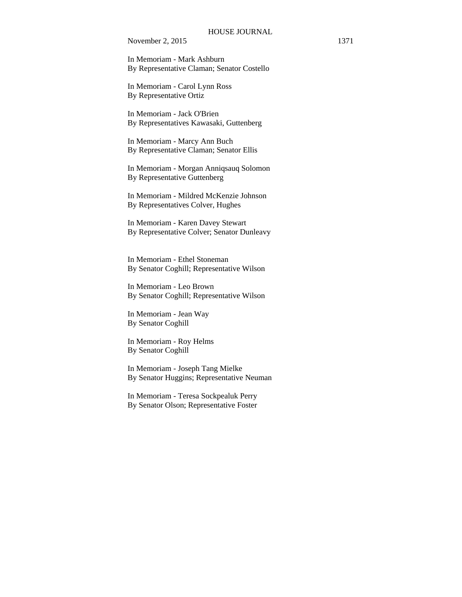In Memoriam - Mark Ashburn By Representative Claman; Senator Costello

In Memoriam - Carol Lynn Ross By Representative Ortiz

In Memoriam - Jack O'Brien By Representatives Kawasaki, Guttenberg

In Memoriam - Marcy Ann Buch By Representative Claman; Senator Ellis

In Memoriam - Morgan Anniqsauq Solomon By Representative Guttenberg

In Memoriam - Mildred McKenzie Johnson By Representatives Colver, Hughes

In Memoriam - Karen Davey Stewart By Representative Colver; Senator Dunleavy

In Memoriam - Ethel Stoneman By Senator Coghill; Representative Wilson

In Memoriam - Leo Brown By Senator Coghill; Representative Wilson

In Memoriam - Jean Way By Senator Coghill

In Memoriam - Roy Helms By Senator Coghill

In Memoriam - Joseph Tang Mielke By Senator Huggins; Representative Neuman

In Memoriam - Teresa Sockpealuk Perry By Senator Olson; Representative Foster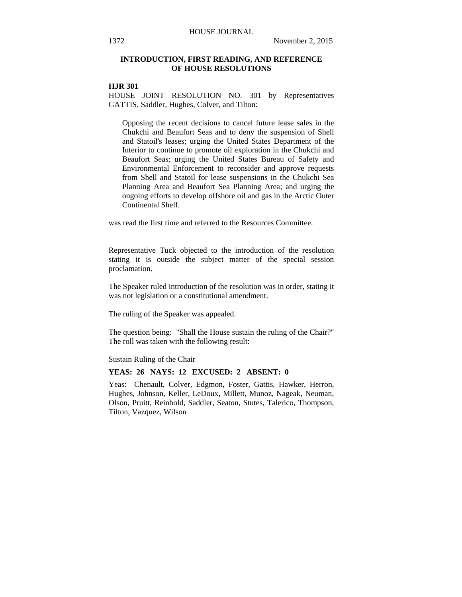# **INTRODUCTION, FIRST READING, AND REFERENCE OF HOUSE RESOLUTIONS**

# **HJR 301**

HOUSE JOINT RESOLUTION NO. 301 by Representatives GATTIS, Saddler, Hughes, Colver, and Tilton:

Opposing the recent decisions to cancel future lease sales in the Chukchi and Beaufort Seas and to deny the suspension of Shell and Statoil's leases; urging the United States Department of the Interior to continue to promote oil exploration in the Chukchi and Beaufort Seas; urging the United States Bureau of Safety and Environmental Enforcement to reconsider and approve requests from Shell and Statoil for lease suspensions in the Chukchi Sea Planning Area and Beaufort Sea Planning Area; and urging the ongoing efforts to develop offshore oil and gas in the Arctic Outer Continental Shelf.

was read the first time and referred to the Resources Committee.

Representative Tuck objected to the introduction of the resolution stating it is outside the subject matter of the special session proclamation.

The Speaker ruled introduction of the resolution was in order, stating it was not legislation or a constitutional amendment.

The ruling of the Speaker was appealed.

The question being: "Shall the House sustain the ruling of the Chair?" The roll was taken with the following result:

Sustain Ruling of the Chair

### **YEAS: 26 NAYS: 12 EXCUSED: 2 ABSENT: 0**

Yeas: Chenault, Colver, Edgmon, Foster, Gattis, Hawker, Herron, Hughes, Johnson, Keller, LeDoux, Millett, Munoz, Nageak, Neuman, Olson, Pruitt, Reinbold, Saddler, Seaton, Stutes, Talerico, Thompson, Tilton, Vazquez, Wilson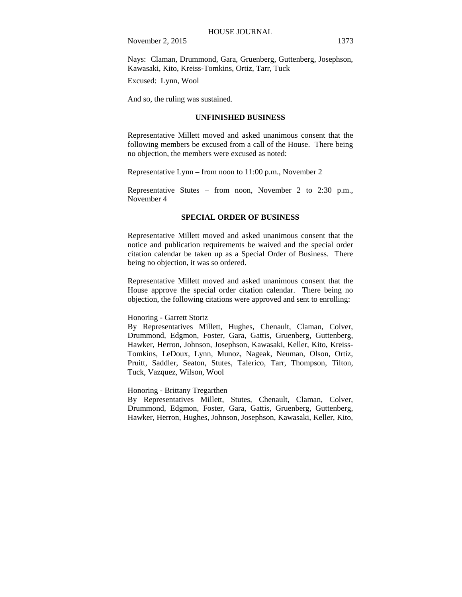Nays: Claman, Drummond, Gara, Gruenberg, Guttenberg, Josephson, Kawasaki, Kito, Kreiss-Tomkins, Ortiz, Tarr, Tuck

Excused: Lynn, Wool

And so, the ruling was sustained.

#### **UNFINISHED BUSINESS**

Representative Millett moved and asked unanimous consent that the following members be excused from a call of the House. There being no objection, the members were excused as noted:

Representative Lynn – from noon to 11:00 p.m., November 2

Representative Stutes – from noon, November 2 to 2:30 p.m., November 4

#### **SPECIAL ORDER OF BUSINESS**

Representative Millett moved and asked unanimous consent that the notice and publication requirements be waived and the special order citation calendar be taken up as a Special Order of Business. There being no objection, it was so ordered.

Representative Millett moved and asked unanimous consent that the House approve the special order citation calendar. There being no objection, the following citations were approved and sent to enrolling:

## Honoring - Garrett Stortz

By Representatives Millett, Hughes, Chenault, Claman, Colver, Drummond, Edgmon, Foster, Gara, Gattis, Gruenberg, Guttenberg, Hawker, Herron, Johnson, Josephson, Kawasaki, Keller, Kito, Kreiss-Tomkins, LeDoux, Lynn, Munoz, Nageak, Neuman, Olson, Ortiz, Pruitt, Saddler, Seaton, Stutes, Talerico, Tarr, Thompson, Tilton, Tuck, Vazquez, Wilson, Wool

Honoring - Brittany Tregarthen

By Representatives Millett, Stutes, Chenault, Claman, Colver, Drummond, Edgmon, Foster, Gara, Gattis, Gruenberg, Guttenberg, Hawker, Herron, Hughes, Johnson, Josephson, Kawasaki, Keller, Kito,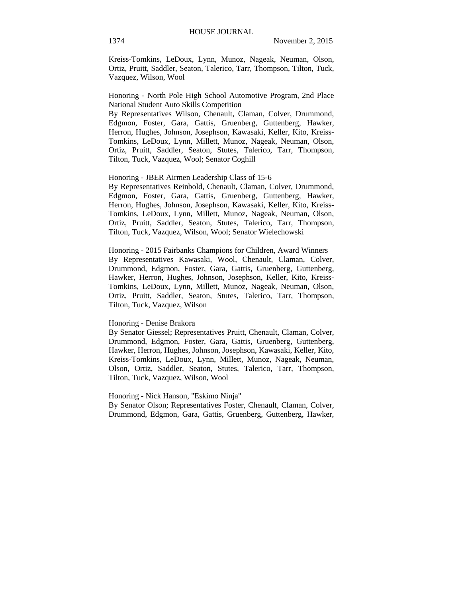Kreiss-Tomkins, LeDoux, Lynn, Munoz, Nageak, Neuman, Olson, Ortiz, Pruitt, Saddler, Seaton, Talerico, Tarr, Thompson, Tilton, Tuck, Vazquez, Wilson, Wool

Honoring - North Pole High School Automotive Program, 2nd Place National Student Auto Skills Competition

By Representatives Wilson, Chenault, Claman, Colver, Drummond, Edgmon, Foster, Gara, Gattis, Gruenberg, Guttenberg, Hawker, Herron, Hughes, Johnson, Josephson, Kawasaki, Keller, Kito, Kreiss-Tomkins, LeDoux, Lynn, Millett, Munoz, Nageak, Neuman, Olson, Ortiz, Pruitt, Saddler, Seaton, Stutes, Talerico, Tarr, Thompson, Tilton, Tuck, Vazquez, Wool; Senator Coghill

## Honoring - JBER Airmen Leadership Class of 15-6

By Representatives Reinbold, Chenault, Claman, Colver, Drummond, Edgmon, Foster, Gara, Gattis, Gruenberg, Guttenberg, Hawker, Herron, Hughes, Johnson, Josephson, Kawasaki, Keller, Kito, Kreiss-Tomkins, LeDoux, Lynn, Millett, Munoz, Nageak, Neuman, Olson, Ortiz, Pruitt, Saddler, Seaton, Stutes, Talerico, Tarr, Thompson, Tilton, Tuck, Vazquez, Wilson, Wool; Senator Wielechowski

Honoring - 2015 Fairbanks Champions for Children, Award Winners By Representatives Kawasaki, Wool, Chenault, Claman, Colver, Drummond, Edgmon, Foster, Gara, Gattis, Gruenberg, Guttenberg, Hawker, Herron, Hughes, Johnson, Josephson, Keller, Kito, Kreiss-Tomkins, LeDoux, Lynn, Millett, Munoz, Nageak, Neuman, Olson, Ortiz, Pruitt, Saddler, Seaton, Stutes, Talerico, Tarr, Thompson, Tilton, Tuck, Vazquez, Wilson

#### Honoring - Denise Brakora

By Senator Giessel; Representatives Pruitt, Chenault, Claman, Colver, Drummond, Edgmon, Foster, Gara, Gattis, Gruenberg, Guttenberg, Hawker, Herron, Hughes, Johnson, Josephson, Kawasaki, Keller, Kito, Kreiss-Tomkins, LeDoux, Lynn, Millett, Munoz, Nageak, Neuman, Olson, Ortiz, Saddler, Seaton, Stutes, Talerico, Tarr, Thompson, Tilton, Tuck, Vazquez, Wilson, Wool

#### Honoring - Nick Hanson, "Eskimo Ninja"

By Senator Olson; Representatives Foster, Chenault, Claman, Colver, Drummond, Edgmon, Gara, Gattis, Gruenberg, Guttenberg, Hawker,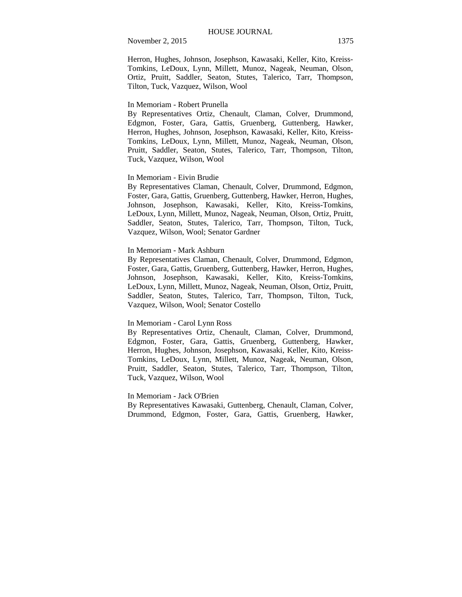Herron, Hughes, Johnson, Josephson, Kawasaki, Keller, Kito, Kreiss-Tomkins, LeDoux, Lynn, Millett, Munoz, Nageak, Neuman, Olson, Ortiz, Pruitt, Saddler, Seaton, Stutes, Talerico, Tarr, Thompson, Tilton, Tuck, Vazquez, Wilson, Wool

#### In Memoriam - Robert Prunella

By Representatives Ortiz, Chenault, Claman, Colver, Drummond, Edgmon, Foster, Gara, Gattis, Gruenberg, Guttenberg, Hawker, Herron, Hughes, Johnson, Josephson, Kawasaki, Keller, Kito, Kreiss-Tomkins, LeDoux, Lynn, Millett, Munoz, Nageak, Neuman, Olson, Pruitt, Saddler, Seaton, Stutes, Talerico, Tarr, Thompson, Tilton, Tuck, Vazquez, Wilson, Wool

#### In Memoriam - Eivin Brudie

By Representatives Claman, Chenault, Colver, Drummond, Edgmon, Foster, Gara, Gattis, Gruenberg, Guttenberg, Hawker, Herron, Hughes, Johnson, Josephson, Kawasaki, Keller, Kito, Kreiss-Tomkins, LeDoux, Lynn, Millett, Munoz, Nageak, Neuman, Olson, Ortiz, Pruitt, Saddler, Seaton, Stutes, Talerico, Tarr, Thompson, Tilton, Tuck, Vazquez, Wilson, Wool; Senator Gardner

#### In Memoriam - Mark Ashburn

By Representatives Claman, Chenault, Colver, Drummond, Edgmon, Foster, Gara, Gattis, Gruenberg, Guttenberg, Hawker, Herron, Hughes, Johnson, Josephson, Kawasaki, Keller, Kito, Kreiss-Tomkins, LeDoux, Lynn, Millett, Munoz, Nageak, Neuman, Olson, Ortiz, Pruitt, Saddler, Seaton, Stutes, Talerico, Tarr, Thompson, Tilton, Tuck, Vazquez, Wilson, Wool; Senator Costello

# In Memoriam - Carol Lynn Ross

By Representatives Ortiz, Chenault, Claman, Colver, Drummond, Edgmon, Foster, Gara, Gattis, Gruenberg, Guttenberg, Hawker, Herron, Hughes, Johnson, Josephson, Kawasaki, Keller, Kito, Kreiss-Tomkins, LeDoux, Lynn, Millett, Munoz, Nageak, Neuman, Olson, Pruitt, Saddler, Seaton, Stutes, Talerico, Tarr, Thompson, Tilton, Tuck, Vazquez, Wilson, Wool

# In Memoriam - Jack O'Brien

By Representatives Kawasaki, Guttenberg, Chenault, Claman, Colver, Drummond, Edgmon, Foster, Gara, Gattis, Gruenberg, Hawker,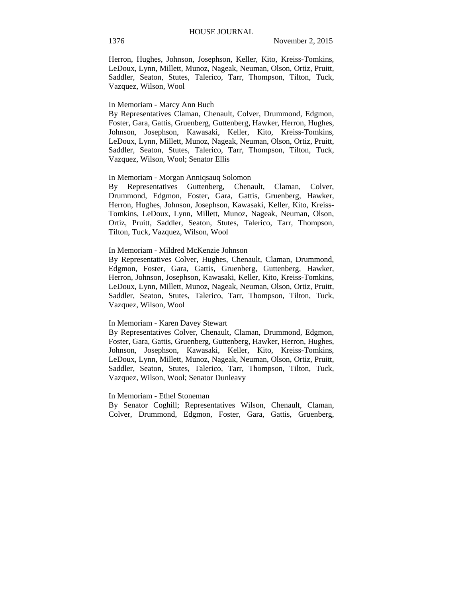Herron, Hughes, Johnson, Josephson, Keller, Kito, Kreiss-Tomkins, LeDoux, Lynn, Millett, Munoz, Nageak, Neuman, Olson, Ortiz, Pruitt, Saddler, Seaton, Stutes, Talerico, Tarr, Thompson, Tilton, Tuck, Vazquez, Wilson, Wool

#### In Memoriam - Marcy Ann Buch

By Representatives Claman, Chenault, Colver, Drummond, Edgmon, Foster, Gara, Gattis, Gruenberg, Guttenberg, Hawker, Herron, Hughes, Johnson, Josephson, Kawasaki, Keller, Kito, Kreiss-Tomkins, LeDoux, Lynn, Millett, Munoz, Nageak, Neuman, Olson, Ortiz, Pruitt, Saddler, Seaton, Stutes, Talerico, Tarr, Thompson, Tilton, Tuck, Vazquez, Wilson, Wool; Senator Ellis

# In Memoriam - Morgan Anniqsauq Solomon

By Representatives Guttenberg, Chenault, Claman, Colver, Drummond, Edgmon, Foster, Gara, Gattis, Gruenberg, Hawker, Herron, Hughes, Johnson, Josephson, Kawasaki, Keller, Kito, Kreiss-Tomkins, LeDoux, Lynn, Millett, Munoz, Nageak, Neuman, Olson, Ortiz, Pruitt, Saddler, Seaton, Stutes, Talerico, Tarr, Thompson, Tilton, Tuck, Vazquez, Wilson, Wool

#### In Memoriam - Mildred McKenzie Johnson

By Representatives Colver, Hughes, Chenault, Claman, Drummond, Edgmon, Foster, Gara, Gattis, Gruenberg, Guttenberg, Hawker, Herron, Johnson, Josephson, Kawasaki, Keller, Kito, Kreiss-Tomkins, LeDoux, Lynn, Millett, Munoz, Nageak, Neuman, Olson, Ortiz, Pruitt, Saddler, Seaton, Stutes, Talerico, Tarr, Thompson, Tilton, Tuck, Vazquez, Wilson, Wool

# In Memoriam - Karen Davey Stewart

By Representatives Colver, Chenault, Claman, Drummond, Edgmon, Foster, Gara, Gattis, Gruenberg, Guttenberg, Hawker, Herron, Hughes, Johnson, Josephson, Kawasaki, Keller, Kito, Kreiss-Tomkins, LeDoux, Lynn, Millett, Munoz, Nageak, Neuman, Olson, Ortiz, Pruitt, Saddler, Seaton, Stutes, Talerico, Tarr, Thompson, Tilton, Tuck, Vazquez, Wilson, Wool; Senator Dunleavy

#### In Memoriam - Ethel Stoneman

By Senator Coghill; Representatives Wilson, Chenault, Claman, Colver, Drummond, Edgmon, Foster, Gara, Gattis, Gruenberg,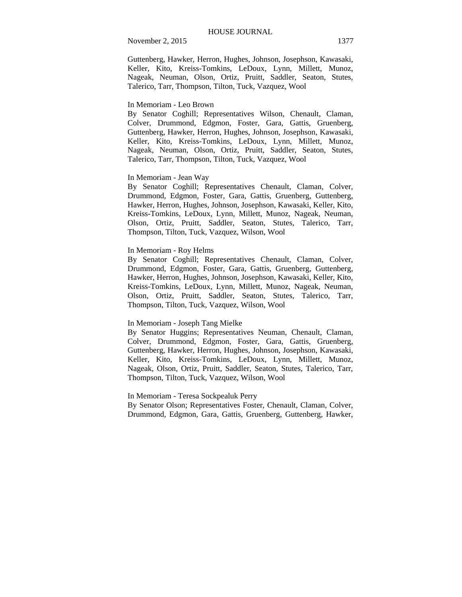Guttenberg, Hawker, Herron, Hughes, Johnson, Josephson, Kawasaki, Keller, Kito, Kreiss-Tomkins, LeDoux, Lynn, Millett, Munoz, Nageak, Neuman, Olson, Ortiz, Pruitt, Saddler, Seaton, Stutes, Talerico, Tarr, Thompson, Tilton, Tuck, Vazquez, Wool

### In Memoriam - Leo Brown

By Senator Coghill; Representatives Wilson, Chenault, Claman, Colver, Drummond, Edgmon, Foster, Gara, Gattis, Gruenberg, Guttenberg, Hawker, Herron, Hughes, Johnson, Josephson, Kawasaki, Keller, Kito, Kreiss-Tomkins, LeDoux, Lynn, Millett, Munoz, Nageak, Neuman, Olson, Ortiz, Pruitt, Saddler, Seaton, Stutes, Talerico, Tarr, Thompson, Tilton, Tuck, Vazquez, Wool

## In Memoriam - Jean Way

By Senator Coghill; Representatives Chenault, Claman, Colver, Drummond, Edgmon, Foster, Gara, Gattis, Gruenberg, Guttenberg, Hawker, Herron, Hughes, Johnson, Josephson, Kawasaki, Keller, Kito, Kreiss-Tomkins, LeDoux, Lynn, Millett, Munoz, Nageak, Neuman, Olson, Ortiz, Pruitt, Saddler, Seaton, Stutes, Talerico, Tarr, Thompson, Tilton, Tuck, Vazquez, Wilson, Wool

# In Memoriam - Roy Helms

By Senator Coghill; Representatives Chenault, Claman, Colver, Drummond, Edgmon, Foster, Gara, Gattis, Gruenberg, Guttenberg, Hawker, Herron, Hughes, Johnson, Josephson, Kawasaki, Keller, Kito, Kreiss-Tomkins, LeDoux, Lynn, Millett, Munoz, Nageak, Neuman, Olson, Ortiz, Pruitt, Saddler, Seaton, Stutes, Talerico, Tarr, Thompson, Tilton, Tuck, Vazquez, Wilson, Wool

# In Memoriam - Joseph Tang Mielke

By Senator Huggins; Representatives Neuman, Chenault, Claman, Colver, Drummond, Edgmon, Foster, Gara, Gattis, Gruenberg, Guttenberg, Hawker, Herron, Hughes, Johnson, Josephson, Kawasaki, Keller, Kito, Kreiss-Tomkins, LeDoux, Lynn, Millett, Munoz, Nageak, Olson, Ortiz, Pruitt, Saddler, Seaton, Stutes, Talerico, Tarr, Thompson, Tilton, Tuck, Vazquez, Wilson, Wool

In Memoriam - Teresa Sockpealuk Perry

By Senator Olson; Representatives Foster, Chenault, Claman, Colver, Drummond, Edgmon, Gara, Gattis, Gruenberg, Guttenberg, Hawker,